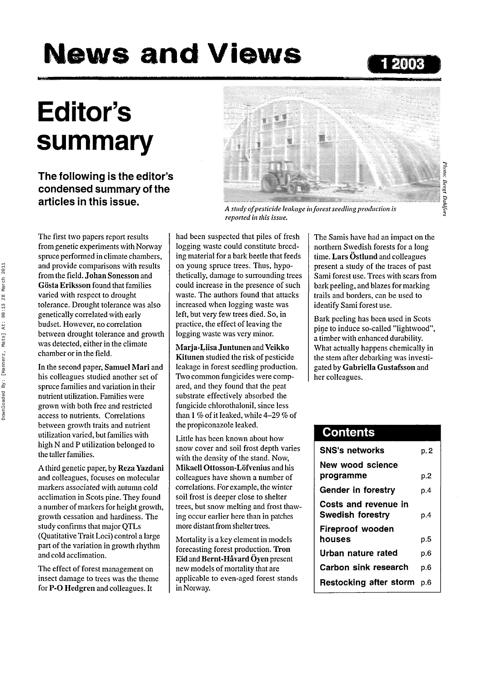# **News and Views <sup>12003</sup>**

# **Editor's summary**

**The following is the editor's condensed summary of the articles in this issue.**



*A study of pesticide leakage in forest seedling production is*

Photo: llaixt Dahlfors Moto: Bengt Dahlfor.

The first two papers report results from genetic experiments with Norway spruce performed in climate chambers, and provide comparisons with results from the field. **Johan Sonesson** and **Gosta Eriksson** found that families varied with respect to drought tolerance. Drought tolerance was also genetically correlated with early budset. However, no correlation between drought tolerance and growth was detected, either in the climate chamber or in the field.

In the second paper, **Samuel Mari** and his colleagues studied another set of spruce families and variation in their nutrient utilization. Families were grown with both free and restricted access to nutrients. Correlations between growth traits and nutrient utilization varied, but families with high N and P utilization belonged to the taller families.

A third genetic paper, by Reza **Yazdani** and colleagues, focuses on molecular markers associated with autumn cold acclimation in Scots pine. They found a number of markers for height growth, growth cessation and hardiness. The study confirms that major QTLs (Quatitative Trait Loci) control a large part of the variation in growth rhythm and cold acclimation.

The effect of forest management on insect damage to trees was the theme for P-O **Hedgren** and colleagues. It

had been suspected that piles of fresh logging waste could constitute breeding material for a bark beetle that feeds on young spruce trees. Thus, hypothetically, damage to surrounding trees could increase in the presence of such waste. The authors found that attacks increased when logging waste was left, but very few trees died. So, in practice, the effect of leaving the logging waste was very minor.

*reported in this issue.*

**Marja-Liisa Juntuncn** and **Vcikko Kitunen** studied the risk of pesticide leakage in forest seedling production. Two common fungicides were compared, and they found that the peat substrate effectively absorbed the fungicide chlorothalonil, since less than 1 *%* of it leaked, while 4-29 *%* of the propiconazole leaked.

Little has been known about how snow cover and soil frost depth varies with the density of the stand. Now, **Mikaell Ottosson-Lofvenius** and his colleagues have shown a number of correlations. For example, the winter soil frost is deeper close to shelter trees, but snow melting and frost thawing occur earlier here than in patches more distant from shelter trees.

Mortality is a key element in models forecasting forest production. **Tron Eid** and **Bernt-Havard Oyen** present new models of mortality that are applicable to even-aged forest stands in Norway.

The Samis have had an impact on the northern Swedish forests for a long time. **Lars Ostlund** and colleagues present a study of the traces of past Sami forest use. Trees with scars from bark peeling, and blazes for marking trails and borders, can be used to identify Sami forest use.

Bark peeling has been used in Scots pine to induce so-called "lightwood", a timber with enhanced durability. What actually happens chemically in the stem after debarking was investigated by **Gabriella Gustafsson** and her colleagues.

### **Contents**

| p. 2 |
|------|
|      |
| p.2  |
| p.4  |
| p.4  |
|      |
| p.5  |
| p.6  |
| p.6  |
| p.6  |
|      |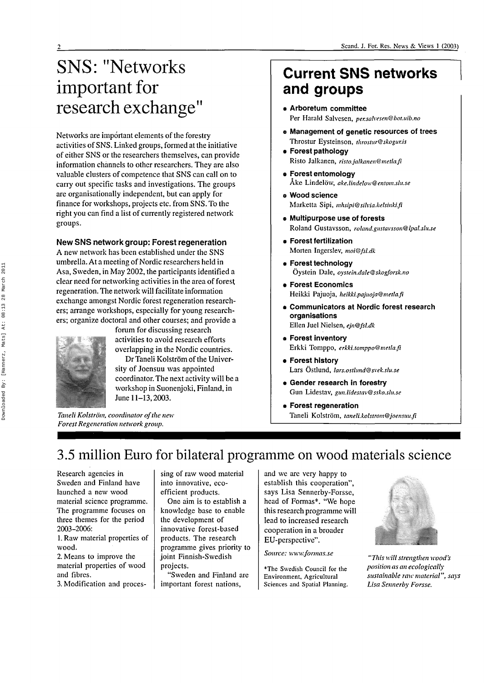## SNS: "Networks important for research exchange"

Networks are important elements of the forestry activities of SNS. Linked groups, formed at the initiative of either SNS or the researchers themselves, can provide information channels to other researchers. They are also valuable clusters of competence that SNS can call on to carry out specific tasks and investigations. The groups are organisationally independent, but can apply for finance for workshops, projects etc. from SNS. To the right you can find a list of currently registered network groups.

#### New SNS network group: Forest regeneration

A new network has been established under the SNS umbrella. At a meeting of Nordic researchers held in Asa, Sweden, in May 2002, the participants identified a clear need for networking activities in the area of forest regeneration. The network will facilitate information exchange amongst Nordic forest regeneration researchers; arrange workshops, especially for young researchers; organize doctoral and other courses; and provide a



forum for discussing research activities to avoid research efforts overlapping in the Nordic countries.

Dr Taneli Kolström of the University of Joensuu was appointed coordinator. The next activity will be a workshop in Suonenjoki, Finland, in June 11-13,2003.

*Taneli Kolström, coordinator of the new Forest Regeneration network group.*

### **Current SNS networks and groups**

- **Arboretum committee** Per Harald Salvesen, *per.sahesen@bot.uib.no*
- **e Management of genetic resources of trees** Throstur Eysteinson, *throstur@skogur.is*
- **Forest pathology** Risto Jalkanen, *risto.jalkanen@metla.fi*
- **Forest entomology** Ake Lindelow, *ake.lindelow@enlom.slu.se*
- **e Wood science** Marketta Sipi, *mhsipi@sihia.helsinki.fi*
- **Multipurpose use of forests** Roland Gustavsson, *roland.gustavsson@lpal.slu.se*
- **Forest fertilization** Morten Ingerslev, *moi@fsl.dk*
- **Forest technology** Oystein Dale, *oystein.dale@skogforsk.no*
- **Forest Economics** Heikki Pajuoja, *heikki.pajuoja@metla.fi*
- **Communicators at Nordic forest research organisations** Ellen Juel Nielsen, *ejn@fsl.dk*
- **Forest inventory** Erkki Tomppo, *erkki.tomppo@metla.fi*
- **Forest history** Lars Ostlund, *lars.ostlimd@svek.slu.se*
- **Gender research in forestry** Gun Lidestav, *gun.lidestav@ssko.slu.se*
- **Forest regeneration** Taneli Kolstrom, *taneli.kolstrom@joensuu.fi*

### 3.5 million Euro for bilateral programme on wood materials science

Research agencies in Sweden and Finland have launched a new wood material science programme. The programme focuses on three themes for the period 2003-2006:

l.Ravv material properties of wood.

2. Means to improve the material properties of wood and fibres.

3. Modification and proces-

sing of raw wood material into innovative, ecoefficient products.

One aim is to establish a knowledge base to enable the development of innovative forest-based products. The research programme gives priority to joint Finnish-Swedish projects.

"Sweden and Finland are important forest nations,

and we are very happy to establish this cooperation", says Lisa Sennerby-Forsse, head of Formas\*. "We hope this research programme will lead to increased research cooperation in a broader EU-perspective".

*Source: www.fonnas.se*

\*The Swedish Council for the Environment, Agricultural Sciences and Spatial Planning.



*"This will strengthen wood's position as an ecologically sustainable raw material", says Lisa Sennerby Forsse.*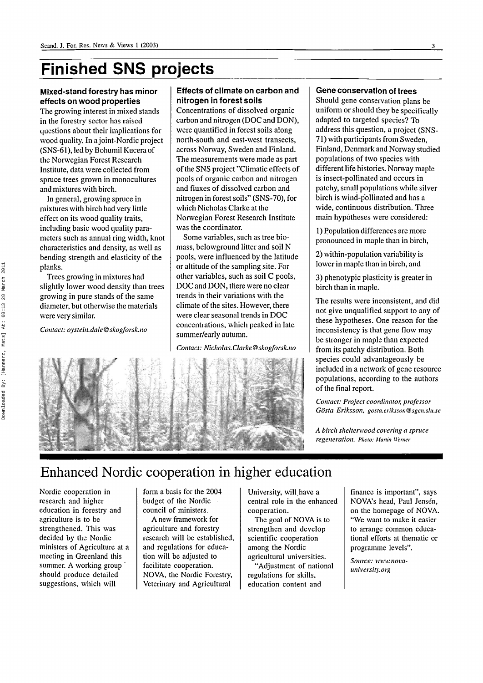### **Finished SNS projects**

#### Mixed-stand forestry has minor effects on wood properties

The growing interest in mixed stands in the forestry sector has raised questions about their implications for wood quality. In a joint-Nordic project (SNS-61), led by Bohumil Kucera of the Norwegian Forest Research Institute, data were collected from spruce trees grown in monocultures and mixtures with birch.

In general, growing spruce in mixtures with birch had very little effect on its wood quality traits, including basic wood quality parameters such as annual ring width, knot characteristics and density, as well as bending strength and elasticity of the planks.

Trees growing in mixtures had slightly lower wood density than trees growing in pure stands of the same diameter, but otherwise the materials were very similar.

*Contact: oystein.dale@skogforsk.no*

#### Effects of climate on carbon and nitrogen in forest soils

Concentrations of dissolved organic carbon and nitrogen (DOC and DON), were quantified in forest soils along north-south and east-west transects, across Norway, Sweden and Finland. The measurements were made as part of the SNS project "Climatic effects of pools of organic carbon and nitrogen and fluxes of dissolved carbon and nitrogen in forest soils" (SNS-70), for which Nicholas Clarke at the Norwegian Forest Research Institute was the coordinator.

Some variables, such as tree biomass, belowground litter and soil N pools, were influenced by the latitude or altitude of the sampling site. For other variables, such as soil C pools, DOC and DON, there were no clear trends in their variations with the climate of the sites. However, there were clear seasonal trends in DOC concentrations, which peaked in late summer/early autumn.

*Contact: Nicholas.Clarke@skogforsk.no*



#### Gene conservation of trees

Should gene conservation plans be uniform or should they be specifically adapted to targeted species? To address this question, a project (SNS-71) with participants from Sweden, Finland, Denmark and Norway studied populations of two species with different life histories. Norway maple is insect-pollinated and occurs in patchy, small populations while silver birch is wind-pollinated and has a wide, continuous distribution. Three main hypotheses were considered:

1) Population differences are more pronounced in maple than in birch,

2) within-population variability is lower in maple than in birch, and

3) phenotypic plasticity is greater in birch than in maple.

The results were inconsistent, and did not give unqualified support to any of these hypotheses. One reason for the inconsistency is that gene flow may be stronger in maple than expected from its patchy distribution. Both species could advantageously be included in a network of gene resource populations, according to the authors of the final report.

*Contact: Project coordinator, professor Gösta Eriksson, gosta.eriksson@sgen.slu.se*

*A birch sheltenvood covering a spruce regeneration. Photo: Martin Werner*

### Enhanced Nordic cooperation in higher education

Nordic cooperation in research and higher education in forestry and agriculture is to be strengthened. This was decided by the Nordic ministers of Agriculture at a meeting in Greenland this summer. A working group ' should produce detailed suggestions, which will

form a basis for the 2004 budget of the Nordic council of ministers.

A new framework for agriculture and forestry research will be established, and regulations for education will be adjusted to facilitate cooperation. NOVA, the Nordic Forestry, Veterinary and Agricultural

University, will have a central role in the enhanced cooperation.

The goal of NOVA is to strengthen and develop scientific cooperation among the Nordic agricultural universities.

"Adjustment of national regulations for skills, education content and

finance is important", says NOVA's head, Paul Jensén, on the homepage of NOVA. "We want to make it easier to arrange common educational efforts at thematic or programme levels".

*Source: mvw.novauniversity.org*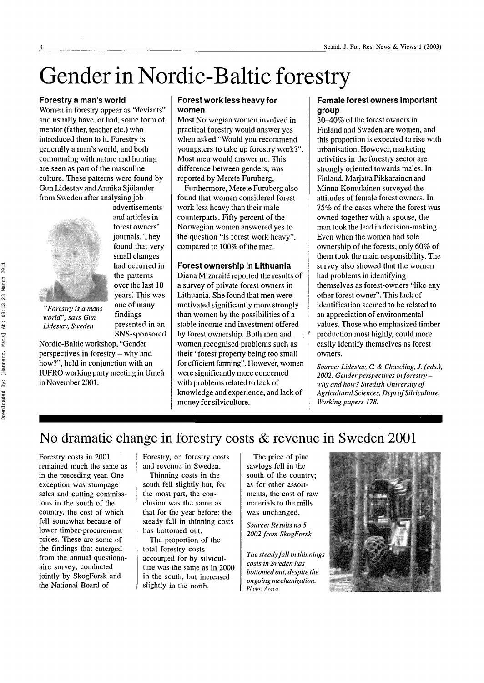## Gender in Nordic-Baltic forestry

#### **Forestry a man's world**

Women in forestry appear as "deviants" and usually have, or had, some form of mentor (father, teacher etc.) who introduced them to it. Forestry is generally a man's world, and both communing with nature and hunting are seen as part of the masculine culture. These patterns were found by Gun Lidestav and Annika Sjolander from Sweden after analysing job



and articles in forest owners' journals. They found that very small changes had occurred in the patterns over the last 10 years. This was one of many findings presented in an SNS-sponsored

advertisements

*world", says Gun Lidestav, Sweden*

Nordic-Baltic workshop, "Gender perspectives in forestry - why and how?", held in conjunction with an IUFRO working party meeting in Umea in November 2001.

#### **Forest work less heavy for women**

Most Norwegian women involved in practical forestry would answer yes when asked "Would you recommend youngsters to take up forestry work?". Most men would answer no. This difference between genders, was reported by Merete Furuberg,

Furthermore, Merete Furuberg also found that women considered forest work less heavy than their male counterparts. Fifty percent of the Norwegian women answered yes to the question "Is forest work heavy", compared to 100% of the men.

#### **Forest ownership in Lithuania**

Diana Mizaraité reported the results of a survey of private forest owners in Lithuania. She found that men were motivated significantly more strongly than women by the possibilities of a stable income and investment offered by forest ownership. Both men and women recognised problems such as their "forest property being too small for efficient farming". However, women were significantly more concerned with problems related to lack of knowledge and experience, and lack of money for silviculture.

#### **Female forest owners important group**

30-40% of the forest owners in Finland and Sweden are women, and this proportion is expected to rise with urbanisation. However, marketing activities in the forestry sector are strongly oriented towards males. In Finland, Marjatta Pikkarainen and Minna Komulainen surveyed the attitudes of female forest owners. In 75% of the cases where the forest was owned together with a spouse, the man took the lead in decision-making. Even when the women had sole ownership of the forests, only 60% of them took the main responsibility. The survey also showed that the women had problems in identifying themselves as forest-owners "like any other forest owner". This lack of identification seemed to be related to an appreciation of environmental values. Those who emphasized timber production most highly, could more easily identify themselves as forest owners.

*Source: Lidestav, G. & Chaseling, J. (eds.), 2002. Gender perspectives in forestrywhy and how? Swedish University of Agricultural Sciences, Dept of Silviculture, Working papers 178.*

### No dramatic change in forestry costs & revenue in Sweden 2001

Forestry costs in 2001 remained much the same as in the preceding year. One exception was stumpage sales and cutting commissions in the south of the country, the cost of which fell somewhat because of lower timber-procurement prices. These are some of the findings that emerged from the annual questionnaire survey, conducted jointly by SkogForsk and the National Board of

Forestry, on forestry costs and revenue in Sweden.

Thinning costs in the south fell slightly but, for the most part, the conclusion was the same as that for the year before: the steady fall in thinning costs has bottomed out.

The proportion of the total forestry costs accounted for by silviculture was the same as in 2000 in the south, but increased slightly in the north.

The price of pine sawlogs fell in the south of the country; as for other assortments, the cost of raw materials to the mills was unchanged.

*Source: Results no 5 2002 from SkogForsk*

*The steady fall in thinnings costs in Sweden has bottomed out, despite the ongoing mechanization.* Photo: Areca

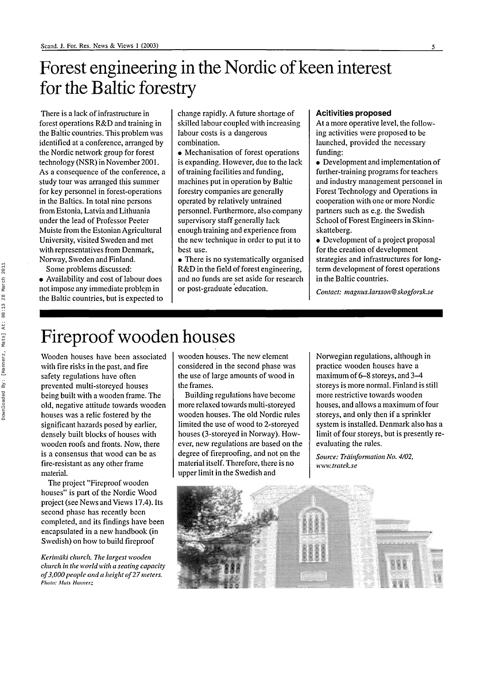### Forest engineering in the Nordic of keen interest for the Baltic forestry

There is a lack of infrastructure in forest operations R&D and training in the Baltic countries. This problem was identified at a conference, arranged by the Nordic network group for forest technology (NSR) in November 2001. As a consequence of the conference, a study tour was arranged this summer for key personnel in forest-operations in the Baltics. In total nine persons from Estonia, Latvia and Lithuania under the lead of Professor Peeter Muiste from the Estonian Agricultural University, visited Sweden and met with representatives from Denmark, Norway, Sweden and Finland.

Some problems discussed:

• Availability and cost of labour does not impose any immediate problem in the Baltic countries, but is expected to change rapidly. A future shortage of skilled labour coupled with increasing labour costs is a dangerous combination.

• Mechanisation of forest operations is expanding. However, due to the lack of training facilities and funding, machines put in operation by Baltic forestry companies are generally operated by relatively untrained personnel. Furthermore, also company supervisory staff generally lack enough training and experience from the new technique in order to put it to best use.

• There is no systematically organised R&D in the field of forest engineering, and no funds are set aside for research or post-graduate education.

#### Acitivities proposed

At a more operative level, the following activities were proposed to be launched, provided the necessary funding:

• Development and implementation of further-training programs for teachers and industry management personnel in Forest Technology and Operations in cooperation with one or more Nordic partners such as e.g. the Swedish School of Forest Engineers in Skinnskatteberg.

• Development of a project proposal for the creation of development strategies and infrastructures for longterm development of forest operations in the Baltic countries.

*Contact: magnus.larsson@skogforsk.se*

### Fireproof wooden houses

Wooden houses have been associated with fire risks in the past, and fire safety regulations have often prevented multi-storeyed houses being built with a wooden frame. The old, negative attitude towards wooden houses was a relic fostered by the significant hazards posed by earlier, densely built blocks of houses with wooden roofs and fronts. Now, there is a consensus that wood can be as fire-resistant as any other frame material.

The project "Fireproof wooden houses" is part of the Nordic Wood project (see News and Views 17.4). Its second phase has recently been completed, and its findings have been encapsulated in a new handbook (in Swedish) on how to build fireproof

*Kerimaki church. The largest wooden church in the world with a seating capacity of 3,000 people and a height of 27 meters. Photo: Mats Hannerz*

wooden houses. The new element considered in the second phase was the use of large amounts of wood in the frames.

Building regulations have become more relaxed towards multi-storeyed wooden houses. The old Nordic rules limited the use of wood to 2-storeyed houses (3-storeyed in Norway). However, new regulations are based on the degree of fireproofing, and not on the material itself. Therefore, there is no upper limit in the Swedish and

Norwegian regulations, although in practice wooden houses have a maximum of 6-8 storeys, and 3-4 storeys is more normal. Finland is still more restrictive towards wooden houses, and allows a maximum of four storeys, and only then if a sprinkler system is installed. Denmark also has a limit of four storeys, but is presently reevaluating the rules.

*Source: Trdinfonnation No. 4/02, www.tratek.se*